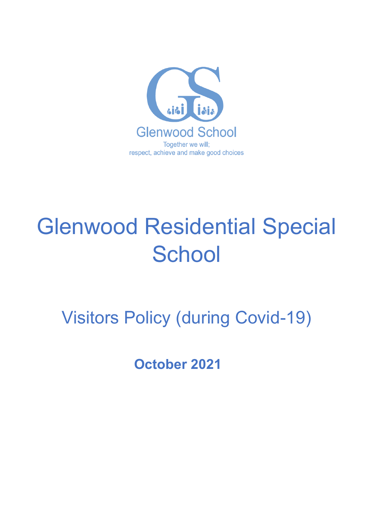

# Glenwood Residential Special **School**

Visitors Policy (during Covid-19)

**October 2021**